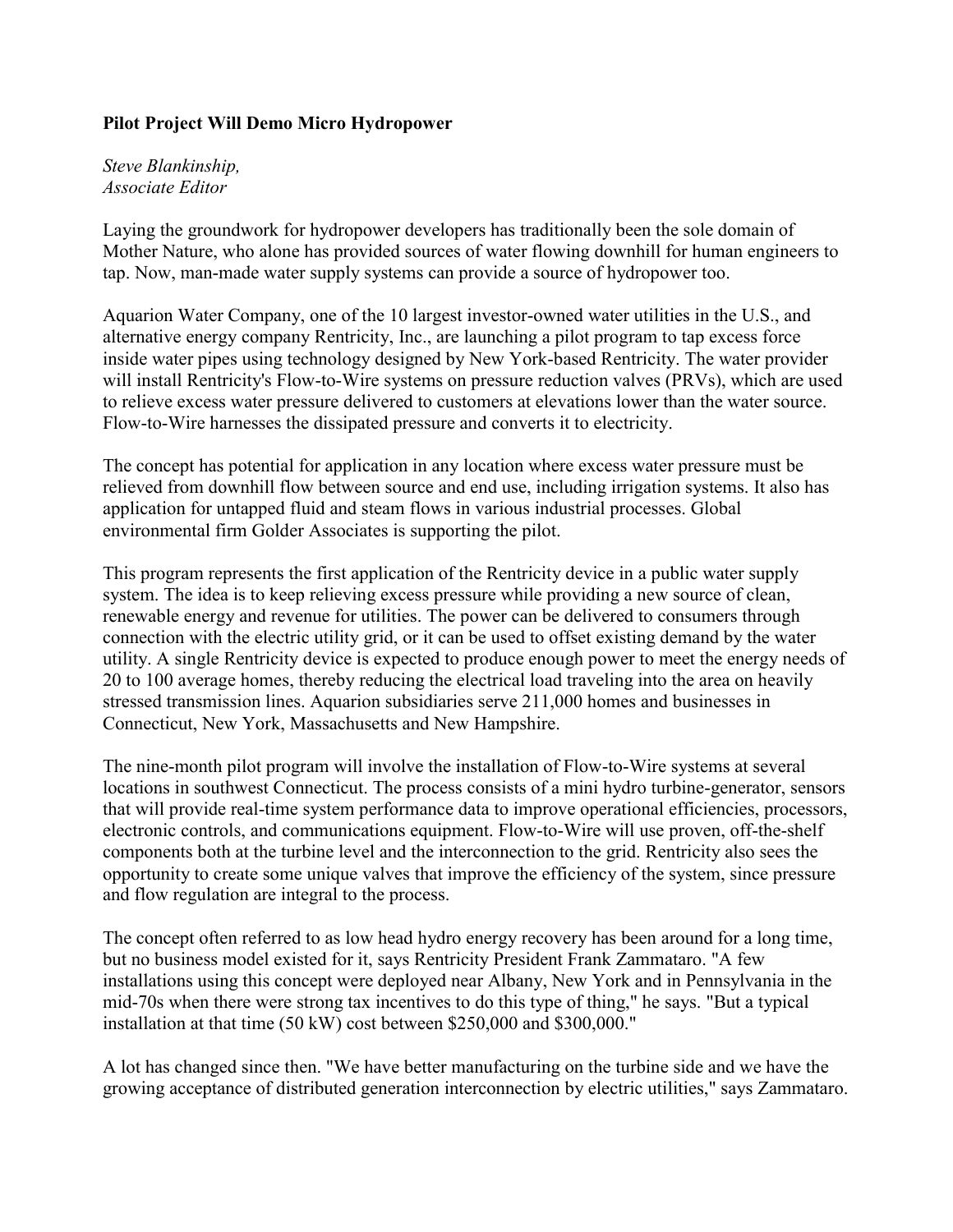## **Pilot Project Will Demo Micro Hydropower**

*Steve Blankinship, Associate Editor*

Laying the groundwork for hydropower developers has traditionally been the sole domain of Mother Nature, who alone has provided sources of water flowing downhill for human engineers to tap. Now, man-made water supply systems can provide a source of hydropower too.

Aquarion Water Company, one of the 10 largest investor-owned water utilities in the U.S., and alternative energy company Rentricity, Inc., are launching a pilot program to tap excess force inside water pipes using technology designed by New York-based Rentricity. The water provider will install Rentricity's Flow-to-Wire systems on pressure reduction valves (PRVs), which are used to relieve excess water pressure delivered to customers at elevations lower than the water source. Flow-to-Wire harnesses the dissipated pressure and converts it to electricity.

The concept has potential for application in any location where excess water pressure must be relieved from downhill flow between source and end use, including irrigation systems. It also has application for untapped fluid and steam flows in various industrial processes. Global environmental firm Golder Associates is supporting the pilot.

This program represents the first application of the Rentricity device in a public water supply system. The idea is to keep relieving excess pressure while providing a new source of clean, renewable energy and revenue for utilities. The power can be delivered to consumers through connection with the electric utility grid, or it can be used to offset existing demand by the water utility. A single Rentricity device is expected to produce enough power to meet the energy needs of 20 to 100 average homes, thereby reducing the electrical load traveling into the area on heavily stressed transmission lines. Aquarion subsidiaries serve 211,000 homes and businesses in Connecticut, New York, Massachusetts and New Hampshire.

The nine-month pilot program will involve the installation of Flow-to-Wire systems at several locations in southwest Connecticut. The process consists of a mini hydro turbine-generator, sensors that will provide real-time system performance data to improve operational efficiencies, processors, electronic controls, and communications equipment. Flow-to-Wire will use proven, off-the-shelf components both at the turbine level and the interconnection to the grid. Rentricity also sees the opportunity to create some unique valves that improve the efficiency of the system, since pressure and flow regulation are integral to the process.

The concept often referred to as low head hydro energy recovery has been around for a long time, but no business model existed for it, says Rentricity President Frank Zammataro. "A few installations using this concept were deployed near Albany, New York and in Pennsylvania in the mid-70s when there were strong tax incentives to do this type of thing," he says. "But a typical installation at that time (50 kW) cost between \$250,000 and \$300,000."

A lot has changed since then. "We have better manufacturing on the turbine side and we have the growing acceptance of distributed generation interconnection by electric utilities," says Zammataro.